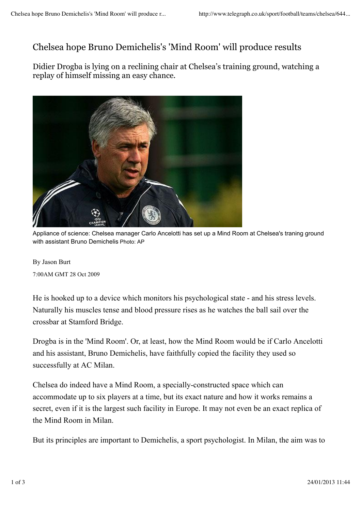## Chelsea hope Bruno Demichelis's 'Mind Room' will produce results

Didier Drogba is lying on a reclining chair at Chelsea's training ground, watching a replay of himself missing an easy chance.



Appliance of science: Chelsea manager Carlo Ancelotti has set up a Mind Room at Chelsea's traning ground with assistant Bruno Demichelis Photo: AP

## By Jason Burt

7:00AM GMT 28 Oct 2009

He is hooked up to a device which monitors his psychological state - and his stress levels. Naturally his muscles tense and blood pressure rises as he watches the ball sail over the crossbar at Stamford Bridge.

Drogba is in the 'Mind Room'. Or, at least, how the Mind Room would be if Carlo Ancelotti and his assistant, Bruno Demichelis, have faithfully copied the facility they used so successfully at AC Milan.

Chelsea do indeed have a Mind Room, a specially-constructed space which can accommodate up to six players at a time, but its exact nature and how it works remains a secret, even if it is the largest such facility in Europe. It may not even be an exact replica of the Mind Room in Milan.

But its principles are important to Demichelis, a sport psychologist. In Milan, the aim was to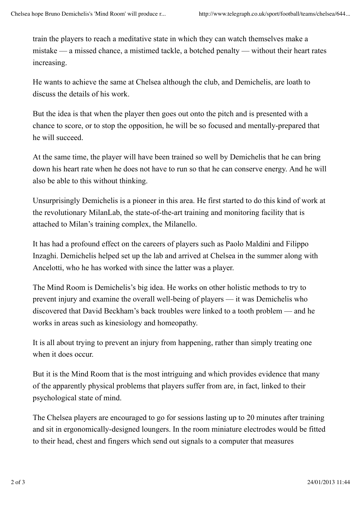train the players to reach a meditative state in which they can watch themselves make a mistake — a missed chance, a mistimed tackle, a botched penalty — without their heart rates increasing.

He wants to achieve the same at Chelsea although the club, and Demichelis, are loath to discuss the details of his work.

But the idea is that when the player then goes out onto the pitch and is presented with a chance to score, or to stop the opposition, he will be so focused and mentally-prepared that he will succeed.

At the same time, the player will have been trained so well by Demichelis that he can bring down his heart rate when he does not have to run so that he can conserve energy. And he will also be able to this without thinking.

Unsurprisingly Demichelis is a pioneer in this area. He first started to do this kind of work at the revolutionary MilanLab, the state-of-the-art training and monitoring facility that is attached to Milan's training complex, the Milanello.

It has had a profound effect on the careers of players such as Paolo Maldini and Filippo Inzaghi. Demichelis helped set up the lab and arrived at Chelsea in the summer along with Ancelotti, who he has worked with since the latter was a player.

The Mind Room is Demichelis's big idea. He works on other holistic methods to try to prevent injury and examine the overall well-being of players — it was Demichelis who discovered that David Beckham's back troubles were linked to a tooth problem — and he works in areas such as kinesiology and homeopathy.

It is all about trying to prevent an injury from happening, rather than simply treating one when it does occur.

But it is the Mind Room that is the most intriguing and which provides evidence that many of the apparently physical problems that players suffer from are, in fact, linked to their psychological state of mind.

The Chelsea players are encouraged to go for sessions lasting up to 20 minutes after training and sit in ergonomically-designed loungers. In the room miniature electrodes would be fitted to their head, chest and fingers which send out signals to a computer that measures